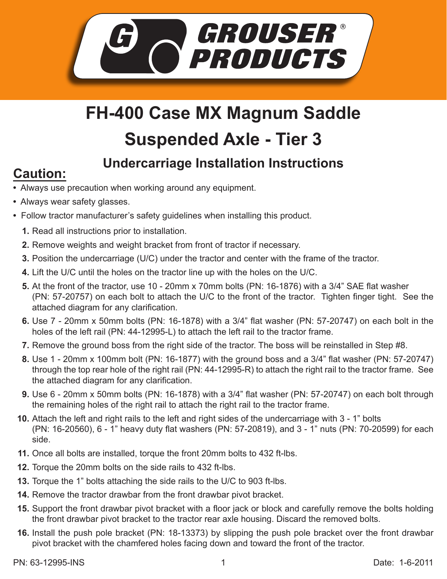

## **FH-400 Case MX Magnum Saddle Suspended Axle - Tier 3**

## **Undercarriage Installation Instructions Caution:**

- Always use precaution when working around any equipment.
- Always wear safety glasses.
- Follow tractor manufacturer's safety guidelines when installing this product.
	- **1.** Read all instructions prior to installation.
	- 2. Remove weights and weight bracket from front of tractor if necessary.
	- **3.** Position the undercarriage (U/C) under the tractor and center with the frame of the tractor.
	- Lift the U/C until the holes on the tractor line up with the holes on the U/C. **4.**
	- **5.** At the front of the tractor, use 10 20mm x 70mm bolts (PN: 16-1876) with a 3/4" SAE flat washer (PN: 57-20757) on each bolt to attach the U/C to the front of the tractor. Tighten finger tight. See the attached diagram for any clarification.
	- Use 7 20mm x 50mm bolts (PN: 16-1878) with a 3/4" flat washer (PN: 57-20747) on each bolt in the **6.** holes of the left rail (PN: 44-12995-L) to attach the left rail to the tractor frame.
	- **7.** Remove the ground boss from the right side of the tractor. The boss will be reinstalled in Step #8.
	- Use 1 20mm x 100mm bolt (PN: 16-1877) with the ground boss and a 3/4" flat washer (PN: 57-20747) **8.** through the top rear hole of the right rail (PN: 44-12995-R) to attach the right rail to the tractor frame. See the attached diagram for any clarification.
	- Use 6 20mm x 50mm bolts (PN: 16-1878) with a 3/4" flat washer (PN: 57-20747) on each bolt through **9.** the remaining holes of the right rail to attach the right rail to the tractor frame.
	- **10.** Attach the left and right rails to the left and right sides of the undercarriage with 3 1" bolts (PN: 16-20560), 6 - 1" heavy duty flat washers (PN: 57-20819), and 3 - 1" nuts (PN: 70-20599) for each side.
	- 11. Once all bolts are installed, torque the front 20mm bolts to 432 ft-lbs.
	- **12.** Torque the 20mm bolts on the side rails to 432 ft-lbs.
- **13.** Torque the 1" bolts attaching the side rails to the U/C to 903 ft-lbs.
- **14.** Remove the tractor drawbar from the front drawbar pivot bracket.
- 15. Support the front drawbar pivot bracket with a floor jack or block and carefully remove the bolts holding the front drawbar pivot bracket to the tractor rear axle housing. Discard the removed bolts.
- **16.** Install the push pole bracket (PN: 18-13373) by slipping the push pole bracket over the front drawbar pivot bracket with the chamfered holes facing down and toward the front of the tractor.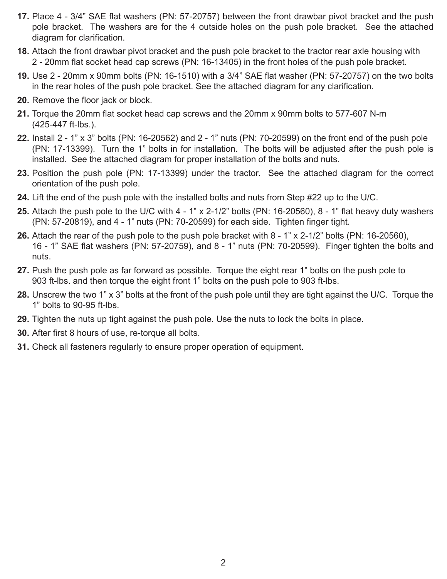- **17.** Place 4 3/4" SAE flat washers (PN: 57-20757) between the front drawbar pivot bracket and the push pole bracket. The washers are for the 4 outside holes on the push pole bracket. See the attached diagram for clarification.
- Attach the front drawbar pivot bracket and the push pole bracket to the tractor rear axle housing with **18.** 2 - 20mm flat socket head cap screws (PN: 16-13405) in the front holes of the push pole bracket.
- Use 2 20mm x 90mm bolts (PN: 16-1510) with a 3/4" SAE flat washer (PN: 57-20757) on the two bolts **19.** in the rear holes of the push pole bracket. See the attached diagram for any clarification.
- **20.** Remove the floor jack or block.
- **21.** Torque the 20mm flat socket head cap screws and the 20mm x 90mm bolts to 577-607 N-m (425-447 ft-lbs.).
- Install 2 1" x 3" bolts (PN: 16-20562) and 2 1" nuts (PN: 70-20599) on the front end of the push pole **22.** (PN: 17-13399). Turn the 1" bolts in for installation. The bolts will be adjusted after the push pole is installed. See the attached diagram for proper installation of the bolts and nuts.
- **23.** Position the push pole (PN: 17-13399) under the tractor. See the attached diagram for the correct orientation of the push pole.
- Lift the end of the push pole with the installed bolts and nuts from Step #22 up to the U/C. **24.**
- **25.** Attach the push pole to the U/C with 4 1" x 2-1/2" bolts (PN: 16-20560), 8 1" flat heavy duty washers (PN: 57-20819), and 4 - 1" nuts (PN: 70-20599) for each side. Tighten finger tight.
- **26.** Attach the rear of the push pole to the push pole bracket with 8 1" x 2-1/2" bolts (PN: 16-20560), 16 - 1" SAE flat washers (PN: 57-20759), and 8 - 1" nuts (PN: 70-20599). Finger tighten the bolts and nuts.
- 27. Push the push pole as far forward as possible. Torque the eight rear 1" bolts on the push pole to 903 ft-lbs. and then torque the eight front 1" bolts on the push pole to 903 ft-lbs.
- Unscrew the two 1" x 3" bolts at the front of the push pole until they are tight against the U/C. Torque the **28.** 1" bolts to 90-95 ft-lbs.
- **29.** Tighten the nuts up tight against the push pole. Use the nuts to lock the bolts in place.
- **30.** After first 8 hours of use, re-torque all bolts.
- Check all fasteners regularly to ensure proper operation of equipment. **31.**